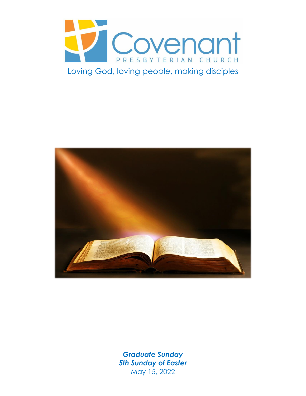



*Graduate Sunday 5th Sunday of Easter* May 15, 2022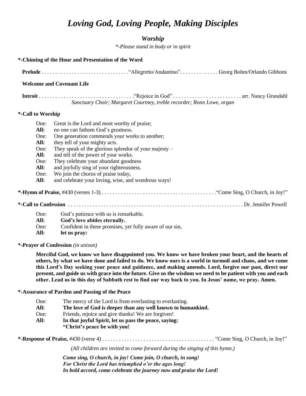# *Loving God, Loving People, Making Disciples*

### *Worship*

*\*-Please stand in body or in spirit*

| *-Chiming of the Hour and Presentation of the Word                                                                                                                                                                                                                                                                                                               |                                                                                                                                                                                                                                                                                                                                                                                                                                                                                                                                                                                                    |
|------------------------------------------------------------------------------------------------------------------------------------------------------------------------------------------------------------------------------------------------------------------------------------------------------------------------------------------------------------------|----------------------------------------------------------------------------------------------------------------------------------------------------------------------------------------------------------------------------------------------------------------------------------------------------------------------------------------------------------------------------------------------------------------------------------------------------------------------------------------------------------------------------------------------------------------------------------------------------|
|                                                                                                                                                                                                                                                                                                                                                                  |                                                                                                                                                                                                                                                                                                                                                                                                                                                                                                                                                                                                    |
|                                                                                                                                                                                                                                                                                                                                                                  | <b>Welcome and Covenant Life</b>                                                                                                                                                                                                                                                                                                                                                                                                                                                                                                                                                                   |
|                                                                                                                                                                                                                                                                                                                                                                  | Sanctuary Choir; Margaret Courtney, treble recorder; Ronn Lowe, organ                                                                                                                                                                                                                                                                                                                                                                                                                                                                                                                              |
| *-Call to Worship                                                                                                                                                                                                                                                                                                                                                |                                                                                                                                                                                                                                                                                                                                                                                                                                                                                                                                                                                                    |
| One:<br>All:<br>One:<br>All:<br>One:<br>All:<br>One:<br>All:<br>One:<br>All:<br>One:<br>All:<br>One:                                                                                                                                                                                                                                                             | Great is the Lord and most worthy of praise;<br>no one can fathom God's greatness.<br>One generation commends your works to another;<br>they tell of your mighty acts.<br>They speak of the glorious splend or of your majesty $-$<br>and tell of the power of your works.<br>They celebrate your abundant goodness<br>and joyfully sing of your righteousness.<br>We join the chorus of praise today,<br>and celebrate your loving, wise, and wondrous ways!<br>God's patience with us is remarkable.<br>God's love abides eternally.<br>Confident in these promises, yet fully aware of our sin, |
| All:                                                                                                                                                                                                                                                                                                                                                             | let us pray:                                                                                                                                                                                                                                                                                                                                                                                                                                                                                                                                                                                       |
| *-Prayer of Confession (in unison)<br>Merciful God, we know we have disappointed you. We know we have broken your heart, and the hearts of<br>others, by what we have done and failed to do. We know ours is a world in turmoil and chaos, and we come<br>this Lord's Day seeking your peace and guidance, and making amends. Lord, forgive our past, direct our |                                                                                                                                                                                                                                                                                                                                                                                                                                                                                                                                                                                                    |
|                                                                                                                                                                                                                                                                                                                                                                  | present, and guide us with grace into the future. Give us the wisdom we need to be patient with you and each<br>other. Lead us in this day of Sabbath rest to find our way back to you. In Jesus' name, we pray. Amen.                                                                                                                                                                                                                                                                                                                                                                             |
|                                                                                                                                                                                                                                                                                                                                                                  | *-Assurance of Pardon and Passing of the Peace                                                                                                                                                                                                                                                                                                                                                                                                                                                                                                                                                     |
| One:<br>All:<br>One:<br>All:                                                                                                                                                                                                                                                                                                                                     | The mercy of the Lord is from everlasting to everlasting.<br>The love of God is deeper than any well known to humankind.<br>Friends, rejoice and give thanks! We are forgiven!<br>In that joyful Spirit, let us pass the peace, saying:<br>"Christ's peace be with you!                                                                                                                                                                                                                                                                                                                            |
|                                                                                                                                                                                                                                                                                                                                                                  |                                                                                                                                                                                                                                                                                                                                                                                                                                                                                                                                                                                                    |

*(All children are invited to come forward during the singing of this hymn.)*

*Come sing, O church, in joy! Come join, O church, in song! For Christ the Lord has triumphed o'er the ages long! In bold accord, come celebrate the journey now and praise the Lord!*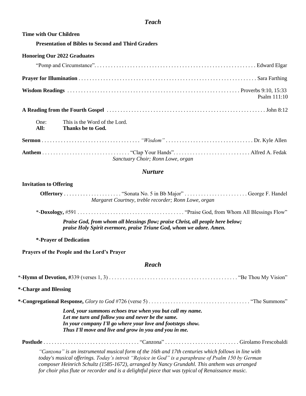## *Teach*

| <b>Time with Our Children</b>                                                                                                                                                                                                                                                                            |
|----------------------------------------------------------------------------------------------------------------------------------------------------------------------------------------------------------------------------------------------------------------------------------------------------------|
| <b>Presentation of Bibles to Second and Third Graders</b>                                                                                                                                                                                                                                                |
| <b>Honoring Our 2022 Graduates</b>                                                                                                                                                                                                                                                                       |
|                                                                                                                                                                                                                                                                                                          |
|                                                                                                                                                                                                                                                                                                          |
| Psalm 111:10                                                                                                                                                                                                                                                                                             |
|                                                                                                                                                                                                                                                                                                          |
| One:<br>This is the Word of the Lord.<br>All:<br>Thanks be to God.                                                                                                                                                                                                                                       |
|                                                                                                                                                                                                                                                                                                          |
| Sanctuary Choir; Ronn Lowe, organ                                                                                                                                                                                                                                                                        |
| <b>Nurture</b>                                                                                                                                                                                                                                                                                           |
| <b>Invitation to Offering</b>                                                                                                                                                                                                                                                                            |
| Margaret Courtney, treble recorder; Ronn Lowe, organ                                                                                                                                                                                                                                                     |
|                                                                                                                                                                                                                                                                                                          |
| Praise God, from whom all blessings flow; praise Christ, all people here below;<br>praise Holy Spirit evermore, praise Triune God, whom we adore. Amen.                                                                                                                                                  |
| *-Prayer of Dedication                                                                                                                                                                                                                                                                                   |
| Prayers of the People and the Lord's Prayer                                                                                                                                                                                                                                                              |
| <b>Reach</b>                                                                                                                                                                                                                                                                                             |
|                                                                                                                                                                                                                                                                                                          |
| *-Charge and Blessing                                                                                                                                                                                                                                                                                    |
|                                                                                                                                                                                                                                                                                                          |
| Lord, your summons echoes true when you but call my name.<br>Let me turn and follow you and never be the same.<br>In your company I'll go where your love and footsteps show.<br>Thus I'll move and live and grow in you and you in me.                                                                  |
|                                                                                                                                                                                                                                                                                                          |
| "Canzona" is an instrumental musical form of the 16th and 17th centuries which follows in line with<br>today's musical offerings. Today's introit "Rejoice in God" is a paraphrase of Psalm 150 by German<br>composer Heinrich Schultz (1585-1672), arranged by Nancy Grundahl. This anthem was arranged |

 *for choir plus flute or recorder and is a delightful piece that was typical of Renaissance music.*